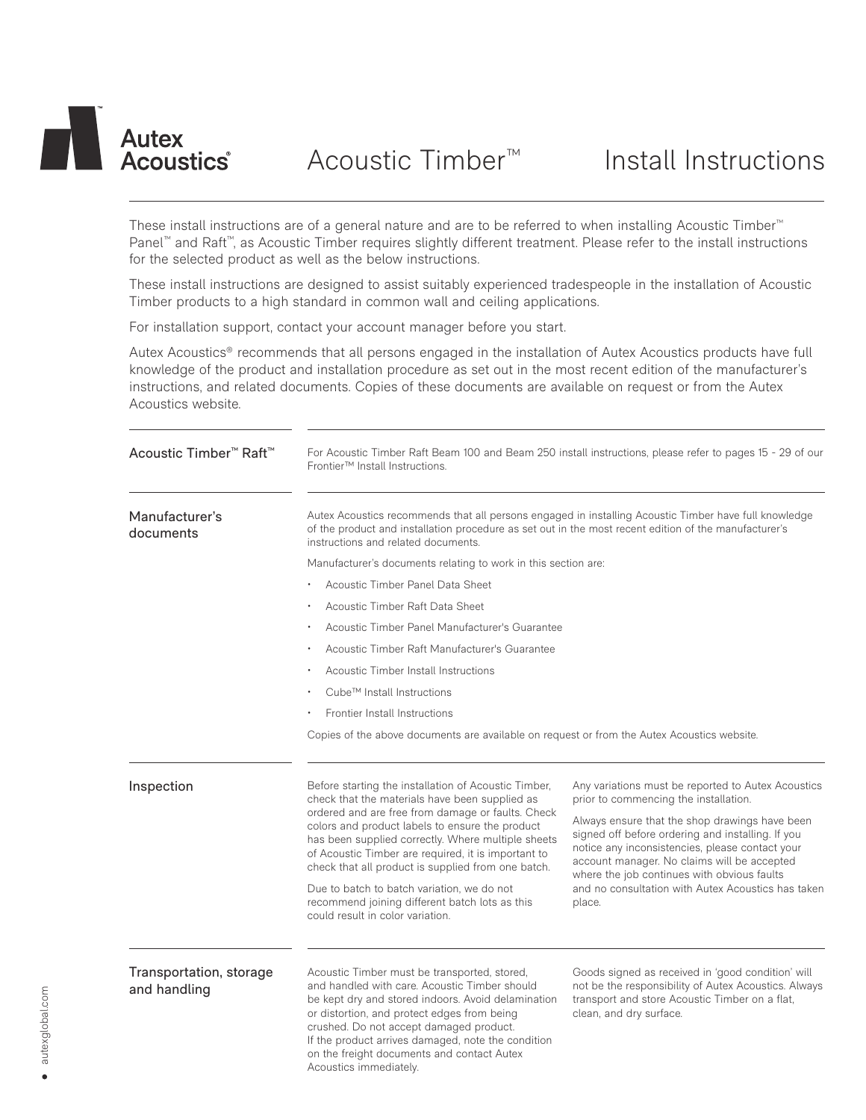

These install instructions are of a general nature and are to be referred to when installing Acoustic Timber™ Panel™ and Raft™, as Acoustic Timber requires slightly different treatment. Please refer to the install instructions for the selected product as well as the below instructions.

These install instructions are designed to assist suitably experienced tradespeople in the installation of Acoustic Timber products to a high standard in common wall and ceiling applications.

For installation support, contact your account manager before you start.

Autex Acoustics® recommends that all persons engaged in the installation of Autex Acoustics products have full knowledge of the product and installation procedure as set out in the most recent edition of the manufacturer's instructions, and related documents. Copies of these documents are available on request or from the Autex Acoustics website.

| Acoustic Timber <sup>™</sup> Raft <sup>™</sup> | For Acoustic Timber Raft Beam 100 and Beam 250 install instructions, please refer to pages 15 - 29 of our<br>Frontier <sup>™</sup> Install Instructions.                                                                                                                                                                                                                                                                                                                                                              |                                                                                                                                                                                                                                                                                                                                                                                                                     |  |
|------------------------------------------------|-----------------------------------------------------------------------------------------------------------------------------------------------------------------------------------------------------------------------------------------------------------------------------------------------------------------------------------------------------------------------------------------------------------------------------------------------------------------------------------------------------------------------|---------------------------------------------------------------------------------------------------------------------------------------------------------------------------------------------------------------------------------------------------------------------------------------------------------------------------------------------------------------------------------------------------------------------|--|
| Manufacturer's<br>documents                    | Autex Acoustics recommends that all persons engaged in installing Acoustic Timber have full knowledge<br>of the product and installation procedure as set out in the most recent edition of the manufacturer's<br>instructions and related documents.                                                                                                                                                                                                                                                                 |                                                                                                                                                                                                                                                                                                                                                                                                                     |  |
|                                                | Manufacturer's documents relating to work in this section are:                                                                                                                                                                                                                                                                                                                                                                                                                                                        |                                                                                                                                                                                                                                                                                                                                                                                                                     |  |
|                                                | Acoustic Timber Panel Data Sheet                                                                                                                                                                                                                                                                                                                                                                                                                                                                                      |                                                                                                                                                                                                                                                                                                                                                                                                                     |  |
|                                                | Acoustic Timber Raft Data Sheet                                                                                                                                                                                                                                                                                                                                                                                                                                                                                       |                                                                                                                                                                                                                                                                                                                                                                                                                     |  |
|                                                | Acoustic Timber Panel Manufacturer's Guarantee                                                                                                                                                                                                                                                                                                                                                                                                                                                                        |                                                                                                                                                                                                                                                                                                                                                                                                                     |  |
|                                                | Acoustic Timber Raft Manufacturer's Guarantee                                                                                                                                                                                                                                                                                                                                                                                                                                                                         |                                                                                                                                                                                                                                                                                                                                                                                                                     |  |
|                                                | Acoustic Timber Install Instructions                                                                                                                                                                                                                                                                                                                                                                                                                                                                                  |                                                                                                                                                                                                                                                                                                                                                                                                                     |  |
|                                                | Cube™ Install Instructions                                                                                                                                                                                                                                                                                                                                                                                                                                                                                            |                                                                                                                                                                                                                                                                                                                                                                                                                     |  |
|                                                | Frontier Install Instructions                                                                                                                                                                                                                                                                                                                                                                                                                                                                                         |                                                                                                                                                                                                                                                                                                                                                                                                                     |  |
|                                                | Copies of the above documents are available on request or from the Autex Acoustics website.                                                                                                                                                                                                                                                                                                                                                                                                                           |                                                                                                                                                                                                                                                                                                                                                                                                                     |  |
| Inspection                                     | Before starting the installation of Acoustic Timber,<br>check that the materials have been supplied as<br>ordered and are free from damage or faults. Check<br>colors and product labels to ensure the product<br>has been supplied correctly. Where multiple sheets<br>of Acoustic Timber are required, it is important to<br>check that all product is supplied from one batch.<br>Due to batch to batch variation, we do not<br>recommend joining different batch lots as this<br>could result in color variation. | Any variations must be reported to Autex Acoustics<br>prior to commencing the installation.<br>Always ensure that the shop drawings have been<br>signed off before ordering and installing. If you<br>notice any inconsistencies, please contact your<br>account manager. No claims will be accepted<br>where the job continues with obvious faults<br>and no consultation with Autex Acoustics has taken<br>place. |  |
| Transportation, storage<br>and handling        | Acoustic Timber must be transported, stored,<br>and handled with care. Acoustic Timber should<br>be kept dry and stored indoors. Avoid delamination<br>or distortion, and protect edges from being<br>crushed. Do not accept damaged product.<br>If the product arrives damaged, note the condition<br>on the freight documents and contact Autex<br>Acoustics immediately.                                                                                                                                           | Goods signed as received in 'good condition' will<br>not be the responsibility of Autex Acoustics. Always<br>transport and store Acoustic Timber on a flat,<br>clean, and dry surface.                                                                                                                                                                                                                              |  |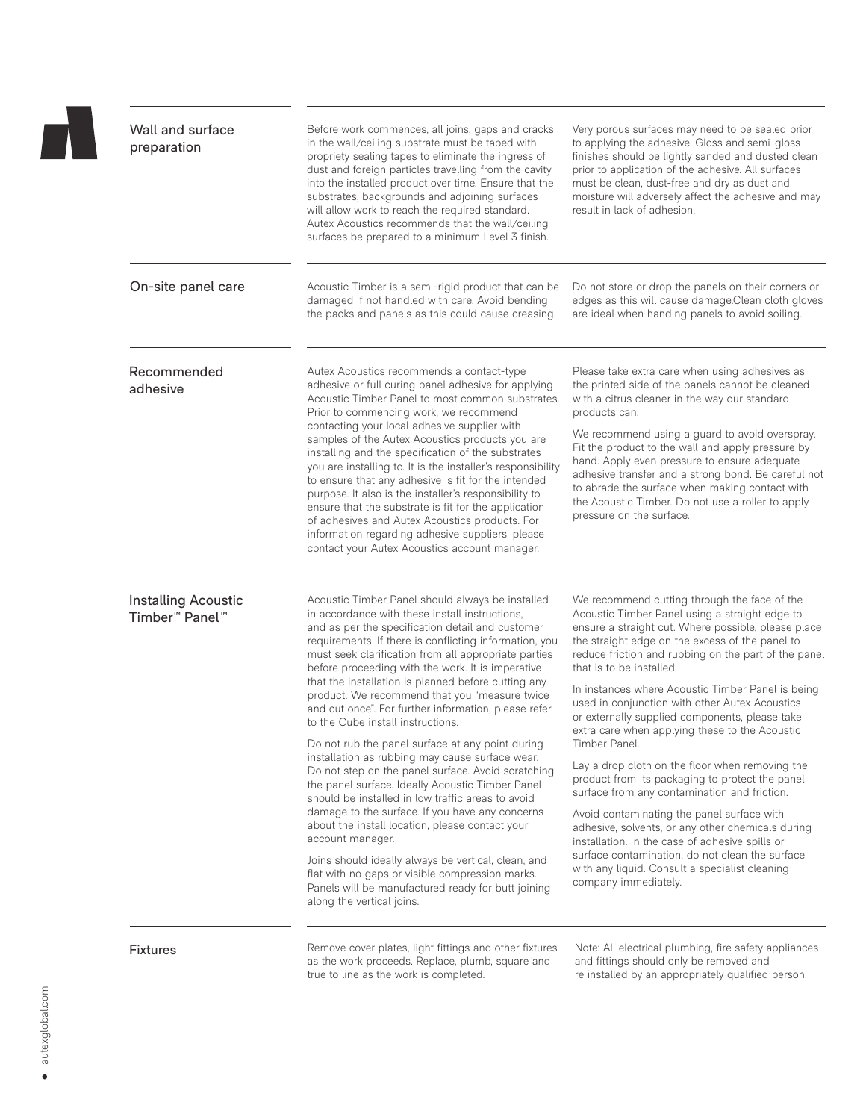| Wall and surface<br>preparation                               | Before work commences, all joins, gaps and cracks<br>in the wall/ceiling substrate must be taped with<br>propriety sealing tapes to eliminate the ingress of<br>dust and foreign particles travelling from the cavity<br>into the installed product over time. Ensure that the<br>substrates, backgrounds and adjoining surfaces<br>will allow work to reach the required standard.<br>Autex Acoustics recommends that the wall/ceiling<br>surfaces be prepared to a minimum Level 3 finish.                                                                                                                                                                                                                                                                                                                                                                                                                                                                                                                                                                                                                                    | Very porous surfaces may need to be sealed prior<br>to applying the adhesive. Gloss and semi-gloss<br>finishes should be lightly sanded and dusted clean<br>prior to application of the adhesive. All surfaces<br>must be clean, dust-free and dry as dust and<br>moisture will adversely affect the adhesive and may<br>result in lack of adhesion.                                                                                                                                                                                                                                                                                                                                                                                                                                                                                                                                                                                                              |
|---------------------------------------------------------------|---------------------------------------------------------------------------------------------------------------------------------------------------------------------------------------------------------------------------------------------------------------------------------------------------------------------------------------------------------------------------------------------------------------------------------------------------------------------------------------------------------------------------------------------------------------------------------------------------------------------------------------------------------------------------------------------------------------------------------------------------------------------------------------------------------------------------------------------------------------------------------------------------------------------------------------------------------------------------------------------------------------------------------------------------------------------------------------------------------------------------------|-------------------------------------------------------------------------------------------------------------------------------------------------------------------------------------------------------------------------------------------------------------------------------------------------------------------------------------------------------------------------------------------------------------------------------------------------------------------------------------------------------------------------------------------------------------------------------------------------------------------------------------------------------------------------------------------------------------------------------------------------------------------------------------------------------------------------------------------------------------------------------------------------------------------------------------------------------------------|
| On-site panel care                                            | Acoustic Timber is a semi-rigid product that can be<br>damaged if not handled with care. Avoid bending<br>the packs and panels as this could cause creasing.                                                                                                                                                                                                                                                                                                                                                                                                                                                                                                                                                                                                                                                                                                                                                                                                                                                                                                                                                                    | Do not store or drop the panels on their corners or<br>edges as this will cause damage.Clean cloth gloves<br>are ideal when handing panels to avoid soiling.                                                                                                                                                                                                                                                                                                                                                                                                                                                                                                                                                                                                                                                                                                                                                                                                      |
| Recommended<br>adhesive                                       | Autex Acoustics recommends a contact-type<br>adhesive or full curing panel adhesive for applying<br>Acoustic Timber Panel to most common substrates.<br>Prior to commencing work, we recommend<br>contacting your local adhesive supplier with<br>samples of the Autex Acoustics products you are<br>installing and the specification of the substrates<br>you are installing to. It is the installer's responsibility<br>to ensure that any adhesive is fit for the intended<br>purpose. It also is the installer's responsibility to<br>ensure that the substrate is fit for the application<br>of adhesives and Autex Acoustics products. For<br>information regarding adhesive suppliers, please<br>contact your Autex Acoustics account manager.                                                                                                                                                                                                                                                                                                                                                                           | Please take extra care when using adhesives as<br>the printed side of the panels cannot be cleaned<br>with a citrus cleaner in the way our standard<br>products can.<br>We recommend using a guard to avoid overspray.<br>Fit the product to the wall and apply pressure by<br>hand. Apply even pressure to ensure adequate<br>adhesive transfer and a strong bond. Be careful not<br>to abrade the surface when making contact with<br>the Acoustic Timber. Do not use a roller to apply<br>pressure on the surface.                                                                                                                                                                                                                                                                                                                                                                                                                                             |
| Installing Acoustic<br>Timber <sup>™</sup> Panel <sup>™</sup> | Acoustic Timber Panel should always be installed<br>in accordance with these install instructions.<br>and as per the specification detail and customer<br>requirements. If there is conflicting information, you<br>must seek clarification from all appropriate parties<br>before proceeding with the work. It is imperative<br>that the installation is planned before cutting any<br>product. We recommend that you "measure twice<br>and cut once". For further information, please refer<br>to the Cube install instructions.<br>Do not rub the panel surface at any point during<br>installation as rubbing may cause surface wear.<br>Do not step on the panel surface. Avoid scratching<br>the panel surface. Ideally Acoustic Timber Panel<br>should be installed in low traffic areas to avoid<br>damage to the surface. If you have any concerns<br>about the install location, please contact your<br>account manager.<br>Joins should ideally always be vertical, clean, and<br>flat with no gaps or visible compression marks.<br>Panels will be manufactured ready for butt joining<br>along the vertical joins. | We recommend cutting through the face of the<br>Acoustic Timber Panel using a straight edge to<br>ensure a straight cut. Where possible, please place<br>the straight edge on the excess of the panel to<br>reduce friction and rubbing on the part of the panel<br>that is to be installed.<br>In instances where Acoustic Timber Panel is being<br>used in conjunction with other Autex Acoustics<br>or externally supplied components, please take<br>extra care when applying these to the Acoustic<br>Timber Panel.<br>Lay a drop cloth on the floor when removing the<br>product from its packaging to protect the panel<br>surface from any contamination and friction.<br>Avoid contaminating the panel surface with<br>adhesive, solvents, or any other chemicals during<br>installation. In the case of adhesive spills or<br>surface contamination, do not clean the surface<br>with any liquid. Consult a specialist cleaning<br>company immediately. |
| <b>Fixtures</b>                                               | Remove cover plates, light fittings and other fixtures<br>as the work proceeds. Replace, plumb, square and<br>true to line as the work is completed.                                                                                                                                                                                                                                                                                                                                                                                                                                                                                                                                                                                                                                                                                                                                                                                                                                                                                                                                                                            | Note: All electrical plumbing, fire safety appliances<br>and fittings should only be removed and<br>re installed by an appropriately qualified person.                                                                                                                                                                                                                                                                                                                                                                                                                                                                                                                                                                                                                                                                                                                                                                                                            |

 $\mathbf{L}$